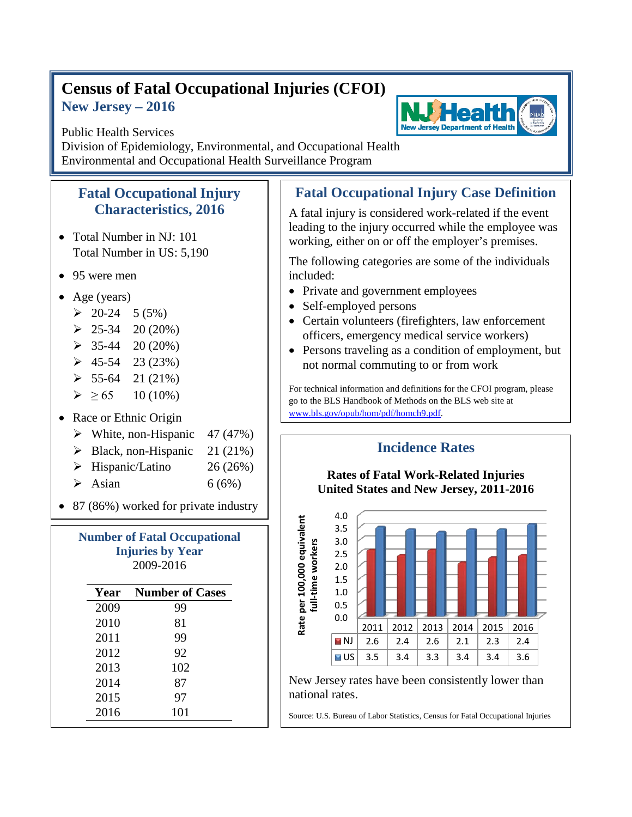## **Census of Fatal Occupational Injuries (CFOI) New Jersey – 2016**



**New Jersey Department of Health** 

Division of Epidemiology, Environmental, and Occupational Health Environmental and Occupational Health Surveillance Program

## **Fatal Occupational Injury Characteristics, 2016**

- Total Number in NJ: 101 Total Number in US: 5,190
- 95 were men
- Age (years)
	- $\geq 20-24$  5 (5%)
	- $\geq 25-34$  20 (20%)
	- $\geq 35-44$  20 (20%)
	- $\geq 45-54$  23 (23%)
	- $\geq 55-64$  21 (21%)
	- $\geq 65$  10 (10%)
- Race or Ethnic Origin
	- $\triangleright$  White, non-Hispanic 47 (47%)
	- $\triangleright$  Black, non-Hispanic 21 (21%)
	- $\triangleright$  Hispanic/Latino 26 (26%)
	- $\triangleright$  Asian 6 (6%)
- 87 (86%) worked for private industry

| <b>Number of Fatal Occupational</b><br><b>Injuries by Year</b><br>2009-2016 |                             |
|-----------------------------------------------------------------------------|-----------------------------|
|                                                                             | <b>Year</b> Number of Cases |
| 2009                                                                        | 99                          |
| 2010                                                                        | 81                          |
| 2011                                                                        | 99                          |
| 2012                                                                        | 92                          |
| 2013                                                                        | 102                         |
| 2014                                                                        | 87                          |
| 2015                                                                        | 97                          |
| 2016                                                                        | 101                         |

## **Fatal Occupational Injury Case Definition**

A fatal injury is considered work-related if the event leading to the injury occurred while the employee was working, either on or off the employer's premises.

The following categories are some of the individuals included:

- Private and government employees
- Self-employed persons
- Certain volunteers (firefighters, law enforcement officers, emergency medical service workers)
- Persons traveling as a condition of employment, but not normal commuting to or from work

For technical information and definitions for the CFOI program, please go to the BLS Handbook of Methods on the BLS web site at www.bls.gov/opub/hom/pdf/homch9.pdf.



New Jersey rates have been consistently lower than national rates.

Source: U.S. Bureau of Labor Statistics, Census for Fatal Occupational Injuries